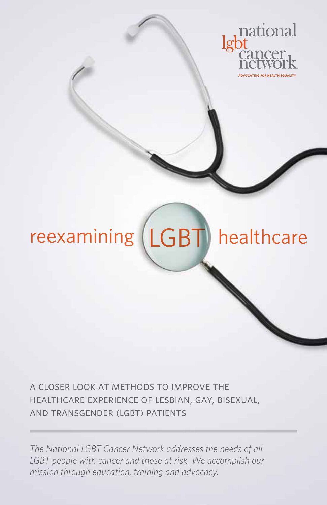

# reexamining (LGBT) healthcare

a closer look at methods to improve the healthcare experience of lesbian, gay, bisexual, and transgender (lgbt) patients

*The National LGBT Cancer Network addresses the needs of all LGBT people with cancer and those at risk. We accomplish our mission through education, training and advocacy.*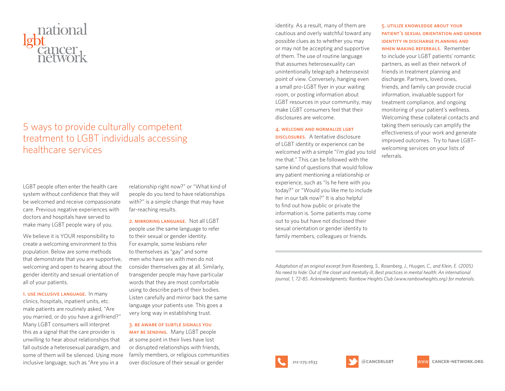

# 5 ways to provide culturally competent treatment to LGBT individuals accessing healthcare services

LGBT people often enter the health care system without confidence that they will be welcomed and receive compassionate care. Previous negative experiences with doctors and hospitals have served to make many LGBT people wary of you.

We believe it is YOUR responsibility to create a welcoming environment to this population. Below are some methods that demonstrate that you are supportive, welcoming and open to hearing about the gender identity and sexual orientation of all of your patients.

1. use inclusive language. In many clinics, hospitals, inpatient units, etc. male patients are routinely asked, "Are you married, or do you have a girlfriend?" Many LGBT consumers will interpret this as a signal that the care provider is unwilling to hear about relationships that fall outside a heterosexual paradigm, and some of them will be silenced. Using more inclusive language, such as "Are you in a

relationship right now?" or "What kind of people do you tend to have relationships with?" is a simple change that may have far-reaching results.

2. mirroring language. Not all LGBT people use the same language to refer to their sexual or gender identity. For example, some lesbians refer to themselves as "gay" and some men who have sex with men do not consider themselves gay at all. Similarly, transgender people may have particular words that they are most comfortable using to describe parts of their bodies. Listen carefully and mirror back the same language your patients use. This goes a very long way in establishing trust.

3. be aware of subtle signals you may be sending. Many LGBT people at some point in their lives have lost or disrupted relationships with friends, family members, or religious communities over disclosure of their sexual or gender

identity. As a result, many of them are cautious and overly watchful toward any possible clues as to whether you may or may not be accepting and supportive of them. The use of routine language that assumes heterosexuality can unintentionally telegraph a heterosexist point of view. Conversely, hanging even a small pro-LGBT flyer in your waiting room, or posting information about LGBT resources in your community, may make LGBT consumers feel that their disclosures are welcome.

#### 4. welcome and normalize lgbt

**DISCLOSURES.** A tentative disclosure of LGBT identity or experience can be welcomed with a simple "I'm glad you told me that." This can be followed with the same kind of questions that would follow any patient mentioning a relationship or experience, such as "Is he here with you today?" or "Would you like me to include her in our talk now?" It is also helpful to find out how public or private the information is. Some patients may come out to you but have not disclosed their sexual orientation or gender identity to family members, colleagues or friends.

5. utilize knowledge about your patient's sexual orientation and gender identity in discharge planning and when making referrals. Remember to include your LGBT patients' romantic partners, as well as their network of friends in treatment planning and discharge. Partners, loved ones, friends, and family can provide crucial information, invaluable support for treatment compliance, and ongoing monitoring of your patient's wellness. Welcoming these collateral contacts and taking them seriously can amplify the effectiveness of your work and generate improved outcomes. Try to have LGBT– welcoming services on your lists of referrals.

*Adaptation of an original excerpt from Rosenberg, S., Rosenberg, J., Huygen, C., and Klein, E. (2005). No need to hide: Out of the closet and mentally ill, Best practices in mental health: An international journal, 1, 72-85. Acknowledgments: Rainbow Heights Club (www.rainbowheights.org) for materials.*



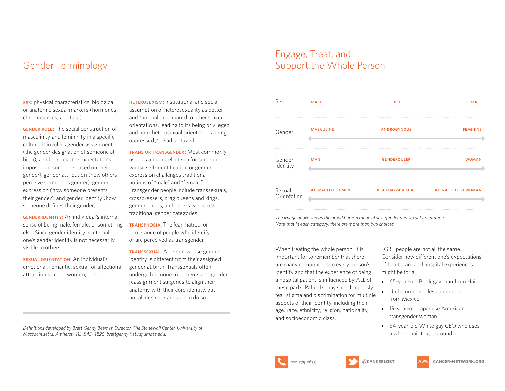# Gender Terminology

sex: physical characteristics; biological or anatomic sexual markers (hormones, chromosomes, genitalia)

**GENDER ROLE:** The social construction of masculinity and femininity in a specific culture. It involves gender assignment (the gender designation of someone at birth), gender roles (the expectations imposed on someone based on their gender), gender attribution (how others perceive someone's gender), gender expression (how someone presents their gender), and gender identity (how someone defines their gender).

**GENDER IDENTITY:** An individual's internal sense of being male, female, or something else. Since gender identity is internal, one's gender identity is not necessarily visible to others.

sexual orientation: An individual's emotional, romantic, sexual, or affectional attraction to men, women, both.

**HETEROSEXISM:** institutional and social assumption of heterosexuality as better and "normal," compared to other sexual orientations, leading to its being privileged and non- heterosexual orientations being oppressed / disadvantaged.

trans or transgender: Most commonly used as an umbrella term for someone whose self-identification or gender expression challenges traditional notions of "male" and "female." Transgender people include transsexuals, crossdressers, drag queens and kings, genderqueers, and others who cross traditional gender categories.

transphobia: The fear, hatred, or intolerance of people who identify or are perceived as transgender.

TRANSSEXUAL: A person whose gender identity is different from their assigned gender at birth. Transsexuals often undergo hormone treatments and gender reassignment surgeries to align their anatomy with their core identity, but not all desire or are able to do so.

Engage, Treat, and Support the Whole Person

| Sex                   | <b>MALE</b>             | <b>DSD</b>              | <b>FEMALE</b>             |
|-----------------------|-------------------------|-------------------------|---------------------------|
| Gender                | <b>MASCULINE</b>        | <b>ANDROGYNOUS</b>      | <b>FEMININE</b>           |
| Gender<br>Identity    | <b>MAN</b>              | <b>GENDERQUEER</b>      | <b>WOMAN</b>              |
| Sexual<br>Orientation | <b>ATTRACTED TO MEN</b> | <b>BISEXUAL/ASEXUAL</b> | <b>ATTRACTED TO WOMAN</b> |

*The image above shows the broad human range of sex, gender and sexual orientation. Note that in each category, there are more than two choices.* 

When treating the whole person, it is important for to remember that there are many components to every person's identity and that the experience of being a hospital patient is influenced by ALL of these parts. Patients may simultaneously fear stigma and discrimination for multiple aspects of their identity, including their age, race, ethnicity, religion, nationality, and socioeconomic class.

LGBT people are not all the same. Consider how different one's expectations of healthcare and hospital experiences might be for a

- 65-year-old Black gay man from Haiti
- Undocumented lesbian mother from Mexico
- **19-year-old Japanese American** transgender woman
- 34-year-old White gay CEO who uses a wheelchair to get around





*Massachusetts, Amherst. 413-545-4826. brettgenny@stuaf.umass.edu.*

*Definitions developed by Brett Genny Beemyn Director, The Stonewall Center, University of*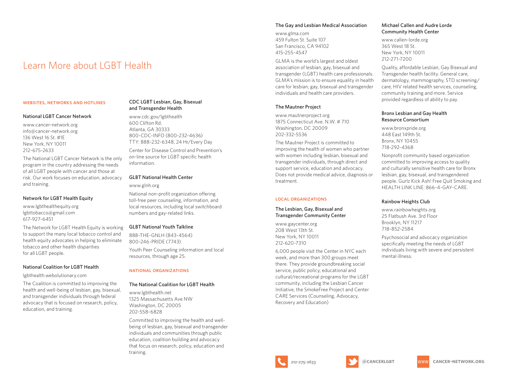# Learn More about LGBT Health

#### websites, networks and hotlines

#### National LGBT Cancer Network

www.cancer-network.org info@cancer-network.org 136 West 16 St. #1E New York, NY 10011 212-675-2633

The National LGBT Cancer Network is the only program in the country addressing the needs of all LGBT people with cancer and those at risk. Our work focuses on education, advocacy and training.

#### Network for LGBT Health Equity

www.lgbthealthequity.org lgbttobacco@gmail.com 617-927-6451

The Network for LGBT Health Equity is working to support the many local tobacco control and health equity advocates in helping to eliminate tobacco and other health disparities for all LGBT people.

#### National Coalition for LGBT Health

lgbthealth.webolutionary.com

The Coalition is committed to improving the health and well-being of lesbian, gay, bisexual, and transgender individuals through federal advocacy that is focused on research, policy, education, and training.

# CDC LGBT Lesbian, Gay, Bisexual and Transgender Health

www.cdc.gov/lgbthealth 600 Clifton Rd. Atlanta, GA 30333 800-CDC-INFO (800-232-4636) TTY: 888-232-6348, 24 Hr/Every Day Center for Disease Control and Prevention's on-line source for LGBT specific health information.

#### GLBT National Health Center

#### www.glnh.org

National non-profit organization offering toll-free peer counseling, information, and local resources, including local switchboard numbers and gay-related links.

## GLBT National Youth Talkline

888-THE-GNLH (843-4564) 800-246-PRIDE (7743) Youth Peer Counseling information and local resources, through age 25.

#### national organizations

#### The National Coalition for LGBT Health

www.lgbthealth.net 1325 Massachusetts Ave NW Washington, DC 20005 202-558-6828

Committed to improving the health and wellbeing of lesbian, gay, bisexual and transgender individuals and communities through public education, coalition building and advocacy that focus on research, policy, education and training.

# The Gay and Lesbian Medical Association

www.glma.com 459 Fulton St. Suite 107 San Francisco, CA 94102 415-255-4547

GLMA is the world's largest and oldest association of lesbian, gay, bisexual and transgender (LGBT) health care professionals. GLMA's mission is to ensure equality in health care for lesbian, gay, bisexual and transgender individuals and health care providers.

# The Mautner Project

www.mautnerproject.org 1875 Connecticut Ave. N.W. # 710 Washington, DC 20009 202-332-5536

The Mautner Project is committed to improving the health of women who partner with women including lesbian, bisexual and transgender individuals, through direct and support service, education and advocacy. Does not provide medical advice, diagnosis or treatment.

#### local organizations

# The Lesbian, Gay, Bisexual and Transgender Community Center

www.gaycenter.org 208 West 13th St. New York, NY 10011 212-620-7310

6,000 people visit the Center in NYC each week, and more than 300 groups meet there. They provide groundbreaking social service, public policy, educational and cultural/recreational programs for the LGBT community, including the Lesbian Cancer Initiative, the SmokeFree Project and Center CARE Services (Counseling, Advocacy, Recovery and Education)

## Michael Callen and Audre Lorde Community Health Center

www.callen-lorde.org 365 West 18 St. New York, NY 10011 212-271-7200

Quality, affordable Lesbian, Gay Bisexual and Transgender health facility. General care, dermatology, mammography, STD screening/ care, HIV related health services, counseling, community training and more. Service provided regardless of ability to pay.

# Bronx Lesbian and Gay Health Resource Consortium

www.bronxpride.org 448 East 149th St. Bronx, NY 10455 718-292-4368

Nonprofit community based organization committed to improving access to quality and culturally sensitive health care for Bronx lesbian, gay, bisexual, and transgendered people. Gurlz Kick Ash! Free Quit Smoking and HEALTH LINK LINE: 866-4-GAY-CARE.

# Rainbow Heights Club

www.rainbowheights.org 25 Flatbush Ave. 3rd Floor Brooklyn, NY 11217 718-852-2584

Psychosocial and advocacy organization specifically meeting the needs of LGBT individuals living with severe and persistent mental illness.

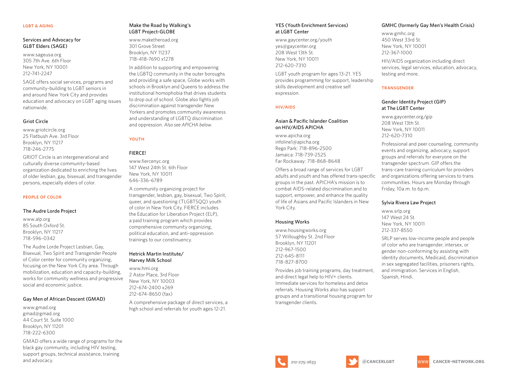# Services and Advocacy for GLBT Elders (SAGE)

www.sageusa.org 305 7th Ave. 6th Floor New York, NY 10001 212-741-2247

SAGE offers social services, programs and community-building to LGBT seniors in and around New York City and provides education and advocacy on LGBT aging issues nationwide.

## Griot Circle

www.griotcircle.org 25 Flatbush Ave. 3rd Floor Brooklyn, NY 11217 718-246-2775

GRIOT Circle is an intergenerational and culturally diverse community-based organization dedicated to enriching the lives of older lesbian, gay, bisexual, and transgender persons, especially elders of color.

## people of color

#### The Audre Lorde Project

www.alp.org 85 South Oxford St. Brooklyn, NY 11217 718-596-0342

The Audre Lorde Project Lesbian, Gay, Bisexual, Two Spirit and Transgender People of Color center for community organizing, focusing on the New York City area. Through mobilization, education and capacity-building, works for community wellness and progressive social and economic justice.

#### Gay Men of African Descent (GMAD)

www.gmad.org gmad@gmad.org 44 Court St. Suite 1000 Brooklyn, NY 11201 718-222-6300

GMAD offers a wide range of programs for the black gay community, including HIV testing, support groups, technical assistance, training and advocacy.

## Make the Road by Walking's LGBT Project-GLOBE

www.maketheroad.org 301 Grove Street Brooklyn, NY 11237 718-418-7690 x1278

In addition to supporting and empowering the LGBTQ community in the outer boroughs and providing a safe space, Globe works with schools in Brooklyn and Queens to address the institutional homophobia that drives students to drop out of school. Globe also fights job discrimination against transgender New Yorkers and promotes community awareness and understanding of LGBTQ discrimination and oppression. *Also see APICHA below.*

# **YOUTH**

# FIERCE!

www.fiercenyc.org 147 West 24th St. 6th Floor New York, NY 10011 646-336-6789 A community organizing project for

transgender, lesbian, gay, bisexual, Two Spirit, queer, and questioning (TLGBTSQQ) youth of color in New York City. FIERCE includes the Education for Liberation Project (ELP), a paid training program which provides comprehensive community organizing, political education, and anti-oppression trainings to our constinuency.

#### Hetrick Martin Institute/ Harvey Milk School

www.hmi.org 2 Astor Place, 3rd Floor New York, NY 10003 212-674-2400 x269 212-674-8650 (fax) A comprehensive package of direct services, a high school and referrals for youth ages 12-21.

#### YES (Youth Enrichment Services) at LGBT Center

www.gaycenter.org/youth yes@gaycenter.org 208 West 13th St. New York, NY 10011 212-620-7310

LGBT youth program for ages 13-21. YES provides programming for support, leadership skills development and creative self expression.

# hiv/aids

# Asian & Pacific Islander Coalition on HIV/AIDS APICHA

www.apicha.org infoline1@apicha.org Rego Park: 718-896-2500 Jamaica: 718-739-2525 Far Rockaway: 718-868-8648

Offers a broad range of services for LGBT adults and youth and has offered trans-specific groups in the past. APICHA's mission is to combat AIDS-related discrimination and to support, empower, and enhance the quality of life of Asians and Pacific Islanders in New York City.

#### Housing Works

www.housingworks.org 57 Willoughby St. 2nd Floor Brooklyn, NY 11201 212-967-1500 212-645-8111 718-827-8700

Provides job training programs, day treatment, and direct legal help to HIV+ clients. Immediate services for homeless and detox referrals. Housing Works also has support groups and a transitional housing program for transgender clients.

# GMHC (formerly Gay Men's Health Crisis)

www.gmhc.org 450 West 33rd St. New York, NY 10001 212-367-1000

HIV/AIDS organization including direct services, legal services, education, advocacy, testing and more.

#### **TRANSGENDER**

# Gender Identity Project (GIP) at The LGBT Center

www.gaycenter.org/gip 208 West 13th St. New York, NY 10011 212-620-7310

Professional and peer counseling, community events and organizing, advocacy, support groups and referrals for everyone on the transgender spectrum. GIP offers the trans-care training curriculum for providers and organizations offering services to trans communities. Hours are Monday through Friday, 10a.m. to 6p.m.

# Sylvia Rivera Law Project

www.srlp.org 147 West 24 St. New York, NY 10011 212-337-8550

SRLP serves low-income people and people of color who are transgender, intersex, or gender non-conforming by assisting with identity documents, Medicaid, discrimination in sex segregated facilities, prisoners rights, and immigration. Services in English, Spanish, Hindi.

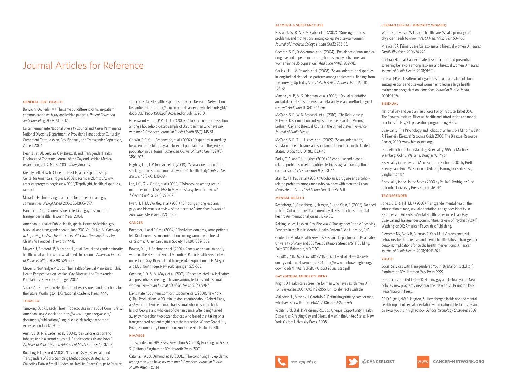# Journal Articles for Reference

#### general lgbt health

Bonvicini KA, Perlin MJ. The same but different: clinician-patient communication with gay and lesbian patients. Patient Education and Counseling. 2003; 51:115-122.

Kaiser Permanente National Diversity Council and Kaiser Permanente National Diversity Department. A Provider's Handbook on Culturally Competent Care: Lesbian, Gay, Bisexual, and Transgender Population, 2nd ed. 2004.

Dean, L., et. Al. Lesbian, Gay, Bisexual, and Transgender Health: Findings and Concerns. Journal of the Gay and Lesbian Medical Assocation, Vol. 4, No. 3, 2000. www.glma.org

Krehely, Jeff. How to Close the LGBT Health Disparities Gap. Center for American Progress. 2009 December 21. http://www. americanprogress.org/issues/2009/12/pdf/lgbt\_health\_disparities race.pdf

Makadon HJ. Improving health care for the lesbian and gay communities. N Engl J Med. 2006; 354:895-897.

Harcourt, J. (ed.). Current issues in lesbian, gay, bisexual, and transgender health. Haworth Press, 2004.

American Journal of Public Health, special issues on lesbian, gay, bisexual, and transgender health: June 2001Vol. 91, No. 6 . Gateways to Improving Lesbian Health and Health Care: Opening Doors, By Christy M. Ponticelli, Haworth, 1998.

Mayer KH, Bradford JB, Makadon HJ, et al. Sexual and gender minority health: What we know and what needs to be done. American Journal of Public Health. 2008:98; 989-995.

Meyer IL, Northridge ME. Eds. The Health of Sexual Minorities: Public Health Perspectives on Lesbian, Gay, Bisexual and Transgender Populations. New York: Springer. 2007.

Solarz, AL. Ed. Lesbian Health: Current Assessment and Directions for the Future. Washington, DC: National Academy Press; 1999.

#### **TOBACCO**

"Smoking Out A Deadly Threat: Tobacco Use in the LGBT Community." American Lung Association. http://www.lungusa.org/assets/ documents/publications/lung- disease-data/lgbt-report.pdf. Accessed on July 12, 2010.

Austin, S. B., N. Ziyadeh, et al. (2004). "Sexual orientation and tobacco use in a cohort study of US adolescent girls and boys." Archives of Pediatrics and Adolescent Medicine. 158(4): 317-22.

Buchting, F. O., Scout (2008). "Lesbians, Gays, Bisexuals, and Transgenders of Color Sampling Methodology: Strategies for Collecting Data in Small, Hidden, or Hard-to-Reach Groups to Reduce

Tobacco-Related Health Disparities, Tobacco Research Network on Disparities." Trend. http://cancercontrol.cancer.gov/tcrb/trend/lgbt/ docs/LGBTReport508.pdf. Accessed on July 12, 2010.

Greenwood, G. L., J. P. Paul, et al. (2005). "Tobacco use and cessation among a household-based sample of US urban men who have sex with men." American Journal of Public Health. 95(1): 145-51.

Gruskin, E. P., G. L. Greenwood, et al. (2007). "Disparities in smoking between the lesbian, gay, and bisexual population and the general population in California." American Journal of Public Health. 97(8): 1496-502.

Hughes, T. L., T. P. Johnson, et al. (2008). "Sexual orientation and smoking: results from a multisite women's health study." Subst Use Misuse. 43(8-9): 1218-39.

Lee, J. G., G. K. Griffin, et al. (2009). "Tobacco use among sexual minorities in the USA, 1987 to May 2007: a systematic review." Tobacco Control. 18(4): 275-82.

Ryan, H., P. M. Wortley, et al. (2001). "Smoking among lesbians, gays, and bisexuals: a review of the literature." American Journal of Preventive Medicine. 21(2): 142-9.

#### cancer

Boehmer, U. and P. Case (2004). "Physicians don't ask, some patients tell: Disclosure of sexual orientation among women with breast carcinoma." American Cancer Society. 101(8): 1882-1889.

Bowen, D. J., U. Boehmer, et al. (2007). Cancer and sexual minority women. The Health of Sexual Minorities: Public Health Perspectives on Lesbian, Gay, Bisexual and Transgender Populations. I. H. Meyer and M. E. Northridge. New York, Springer: 523-538.

Cochran, S. D., V. M. Mays, et al. (2001). "Cancer-related risk indicators and preventive screening behaviors among lesbians and bisexual women." American Journal of Public Health. 91(4): 591-7.

Davis, Kate. "Southern Comfort" (documentary, 2001). New York: Q-Ball Productions. A 90-minute documentary about Robert Eads, a 52-year-old female to male transsexual who lives in the back hills of Georgia and who dies of ovarian cancer after being turned away by more than two dozen doctors who feared that taking on a transgendered patient might harm their practice. Winner Grand Jury Prize, Documentary Competition, Sundance Film Festival 2001.

#### hiv/aids

Transgender and HIV: Risks, Prevention & Care. By Bockting, W & Kirk, S. (Editors.) Binghamton NY: Haworth Press, 2001.

Catania, J. A., D. Osmond, et al. (2001). "The continuing HIV epidemic among men who have sex with men." American Journal of Public Health. 91(6): 907-14.

#### alcohol & substance use

Bostwick, W. B., S. E. McCabe, et al. (2007). "Drinking patterns, problems, and motivations among collegiate bisexual women." Journal of American College Health. 56(3): 285-92.

Cochran, S. D., D. Ackerman, et al. (2004). "Prevalence of non-medical drug use and dependence among homosexually active men and women in the US population." Addiction. 99(8): 989-98.

Corliss, H. L., M. Rosario, et al. (2008). "Sexual orientation disparities in longitudinal alcohol use patterns among adolescents: findings from the Growing Up Today Study." Arch Pediatr Adolesc Med. 162(11): 1071-8.

Marshal, M. P., M. S. Friedman, et al. (2008). "Sexual orientation. and adolescent substance use: a meta-analysis and methodological review." Addiction. 103(4): 546-56.

McCabe, S. E., W. B. Bostwick, et al. (2010). "The Relationship Between Discrimination and Substance Use Disorders Among Lesbian, Gay, and Bisexual Adults in the United States." American Journal of Public Health.

McCabe, S. E., T. L. Hughes, et al. (2009). "Sexual orientation, substance use behaviors and substance dependence in the United States." Addiction. 104(8): 1333-45.

Parks, C. A. and T. L. Hughes (2005). "Alcohol use and alcoholrelated problems in self- identified lesbians: age and racial/ethnic comparisons." *I Lesbian Stud.* 9(3): 31-44.

Stall, R., J. P. Paul, et al. (2001). "Alcohol use, drug use and alcoholrelated problems among men who have sex with men: the Urban Men's Health Study." Addiction. 96(11): 1589-601.

#### MENTAL HEALTH

Rosenberg, S., Rosenberg, J., Huygen, C., and Klein, E. (2005). No need to hide: Out of the closet and mentally ill, Best practices in mental health: An international journal, 1, 72-85.

Raising Issues: Lesbian, Gay, Bisexual & Transgender People Receiving Services in the Public Menthal Health System Alicia Lucksted, PhD

Center for Mental Health Services Research Department of Psychiatry, University of Maryland 685 West Baltimore Street, MSTF Building, Suite 300 Baltimore, MD 21201

Tel: 410 / 706-2490 Fax: 410 / 706-0022 Email: aluckste@psych. umaryland.edu. November, 2004. http://www.rainbowheights.org/ downloads/FINAL\_VERSIONAlicia%20Lucksted.pdf

#### gay (sexual minority men)

Knight D. Health care screening for men who have sex ith men. Am Fam Physician. 2004;69:2149-2156. Link to abstract available

Makadon HJ, Mayer KH, Garofalo R. Optimizing primary care for men who have sex with men. JAMA. 2006;296:2362-2365

Wolitski, RJ, Stall, R Valdiserri, RO. Eds. Unequal Opportunity: Health Disparities Affecting Gay and Bisexual Men in the United States. New York: Oxford University Press, 2008.

#### lesbian (sexual minority women)

White JC, Levinson W Lesbian health care. What a primary care physician needs to know. West J Med. 1995: 162: 463-466.

Mravcak SA. Primary care for lesbians and bisexual women. American Family Physician. 2006;74:279.

Cochran SD, et al. Cancer-related risk indicators and preventive screening behaviors among lesbians and bisexual women. American Journal of Public Health. 2001;91:591.

Gruskin EP, et al. Patterns of cigarette smoking and alcohol abuse among lesbians and bisexual women enrolled in a large health maintenance organization. American Journal of Public Health. 2001;91:976.

#### bisexual

National Gay and Lesbian Task Force Policy Institute, BiNet USA, The Fenway Institute. Bisexual health: and introduction and model practices for HIV/STI prevention programming 2007.

Bisexuality: The Psychology and Politics of an Invisible Minority, Beth A. Firestein. Bisexual Resource Guide 2000, The Bisexual Resource Center, 2000. www.biresource.org

Dual Attraction : Understanding Bisexuality 1995 by Martin S. Weinberg, Colin J. Williams, Douglas W. Pryor

Bisexuality in the Lives of Men: Facts and Fictions 2001 by Brett Beemyn and Erich W. Steinman (Editors) Harrington Park Press, Binghamton NY

Bisexuality in the United States 2000 by Paula C. Rodriguez Rust Columbia University Press, Chichester NY

#### transgender

Jones, B. E., & Hill, M. J. (2002). Transgender mental health: the intersection of race, sexual orientation, and gender identity. In BE Jones & J. Hill (Eds.) Mental Health Issues in Lesbian, Gay, Bisexual and Transgender Communities. Review of Psychiatry 21(4). Washington DC: American Psychiatric Publishing.

Clements NK, Marx R, Guzman R, Katz M. HIV prevalence, risk behaviors, health care use, and mental health status of transgender persons: implications for public health interventions. American Journal of Public Health. 2001;91:915-921.

#### YOUTH

Social Services with Transgendered Youth. By Mallon, G (Editor.); Binghamton NY: Harrinton Park Press, 1999

DeCrescenzo, T. (Ed.). (1994). Helping gay and lesbian youth: New policies, new programs, new practice. New York: Harrington Park Press/Haworth Press.

AR D'Augelli, NW Pilkington, SL Hershberger. Incidence and mental health impact of sexual orientation victimization of lesbian, gay, and bisexual youths in high school. School Psychology Quarterly. 2002.